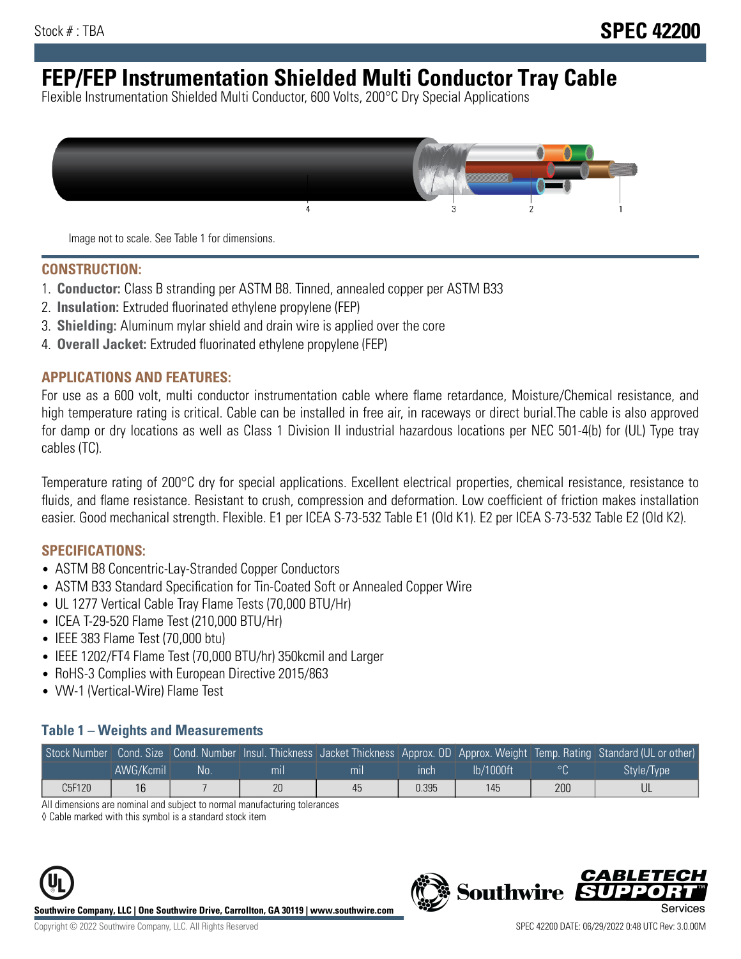# **FEP/FEP Instrumentation Shielded Multi Conductor Tray Cable**

Flexible Instrumentation Shielded Multi Conductor, 600 Volts, 200°C Dry Special Applications



Image not to scale. See Table 1 for dimensions.

#### **CONSTRUCTION:**

- 1. **Conductor:** Class B stranding per ASTM B8. Tinned, annealed copper per ASTM B33
- 2. **Insulation:** Extruded fluorinated ethylene propylene (FEP)
- 3. **Shielding:** Aluminum mylar shield and drain wire is applied over the core
- 4. **Overall Jacket:** Extruded fluorinated ethylene propylene (FEP)

#### **APPLICATIONS AND FEATURES:**

For use as a 600 volt, multi conductor instrumentation cable where flame retardance, Moisture/Chemical resistance, and high temperature rating is critical. Cable can be installed in free air, in raceways or direct burial.The cable is also approved for damp or dry locations as well as Class 1 Division II industrial hazardous locations per NEC 501-4(b) for (UL) Type tray cables (TC).

Temperature rating of 200°C dry for special applications. Excellent electrical properties, chemical resistance, resistance to fluids, and flame resistance. Resistant to crush, compression and deformation. Low coefficient of friction makes installation easier. Good mechanical strength. Flexible. E1 per ICEA S-73-532 Table E1 (Old K1). E2 per ICEA S-73-532 Table E2 (Old K2).

#### **SPECIFICATIONS:**

- ASTM B8 Concentric-Lay-Stranded Copper Conductors
- ASTM B33 Standard Specification for Tin-Coated Soft or Annealed Copper Wire
- UL 1277 Vertical Cable Tray Flame Tests (70,000 BTU/Hr)
- ICEA T-29-520 Flame Test (210,000 BTU/Hr)
- IEEE 383 Flame Test (70,000 btu)
- IEEE 1202/FT4 Flame Test (70,000 BTU/hr) 350kcmil and Larger
- RoHS-3 Complies with European Directive 2015/863
- VW-1 (Vertical-Wire) Flame Test

#### **Table 1 – Weights and Measurements**

|        |           |    |                |     |             |           |     | Stock Number Cond. Size Cond. Number Insul. Thickness Jacket Thickness Approx. OD Approx. Weight Temp. Rating Standard (UL or other) |
|--------|-----------|----|----------------|-----|-------------|-----------|-----|--------------------------------------------------------------------------------------------------------------------------------------|
|        | AWG/Kcmil | No | m <sub>l</sub> | mil | <b>inch</b> | Ib/1000ft |     | Style/Type                                                                                                                           |
| C5F120 | 16        |    | 20             | 45  | 0.395       | 145       | 200 |                                                                                                                                      |

All dimensions are nominal and subject to normal manufacturing tolerances

◊ Cable marked with this symbol is a standard stock item